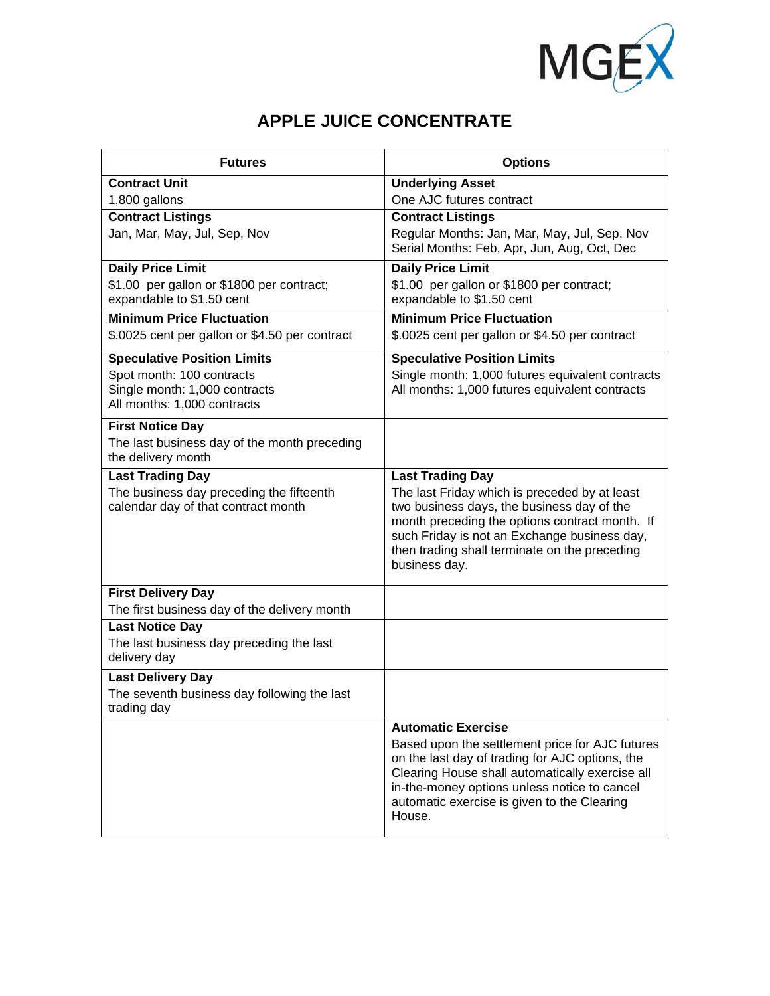

## **APPLE JUICE CONCENTRATE**

| <b>Futures</b>                                           | <b>Options</b>                                                                                  |
|----------------------------------------------------------|-------------------------------------------------------------------------------------------------|
| <b>Contract Unit</b>                                     | <b>Underlying Asset</b>                                                                         |
| 1,800 gallons                                            | One AJC futures contract                                                                        |
| <b>Contract Listings</b>                                 | <b>Contract Listings</b>                                                                        |
| Jan, Mar, May, Jul, Sep, Nov                             | Regular Months: Jan, Mar, May, Jul, Sep, Nov<br>Serial Months: Feb, Apr, Jun, Aug, Oct, Dec     |
| <b>Daily Price Limit</b>                                 | <b>Daily Price Limit</b>                                                                        |
| \$1.00 per gallon or \$1800 per contract;                | \$1.00 per gallon or \$1800 per contract;                                                       |
| expandable to \$1.50 cent                                | expandable to \$1.50 cent                                                                       |
| <b>Minimum Price Fluctuation</b>                         | <b>Minimum Price Fluctuation</b>                                                                |
| \$.0025 cent per gallon or \$4.50 per contract           | \$.0025 cent per gallon or \$4.50 per contract                                                  |
| <b>Speculative Position Limits</b>                       | <b>Speculative Position Limits</b>                                                              |
| Spot month: 100 contracts                                | Single month: 1,000 futures equivalent contracts                                                |
| Single month: 1,000 contracts                            | All months: 1,000 futures equivalent contracts                                                  |
| All months: 1,000 contracts                              |                                                                                                 |
| <b>First Notice Day</b>                                  |                                                                                                 |
| The last business day of the month preceding             |                                                                                                 |
| the delivery month                                       |                                                                                                 |
| <b>Last Trading Day</b>                                  | <b>Last Trading Day</b>                                                                         |
| The business day preceding the fifteenth                 | The last Friday which is preceded by at least                                                   |
| calendar day of that contract month                      | two business days, the business day of the                                                      |
|                                                          | month preceding the options contract month. If<br>such Friday is not an Exchange business day,  |
|                                                          | then trading shall terminate on the preceding                                                   |
|                                                          | business day.                                                                                   |
|                                                          |                                                                                                 |
| <b>First Delivery Day</b>                                |                                                                                                 |
| The first business day of the delivery month             |                                                                                                 |
| <b>Last Notice Day</b>                                   |                                                                                                 |
| The last business day preceding the last<br>delivery day |                                                                                                 |
| <b>Last Delivery Day</b>                                 |                                                                                                 |
| The seventh business day following the last              |                                                                                                 |
| trading day                                              |                                                                                                 |
|                                                          | <b>Automatic Exercise</b>                                                                       |
|                                                          | Based upon the settlement price for AJC futures                                                 |
|                                                          | on the last day of trading for AJC options, the                                                 |
|                                                          | Clearing House shall automatically exercise all<br>in-the-money options unless notice to cancel |
|                                                          | automatic exercise is given to the Clearing                                                     |
|                                                          | House.                                                                                          |
|                                                          |                                                                                                 |